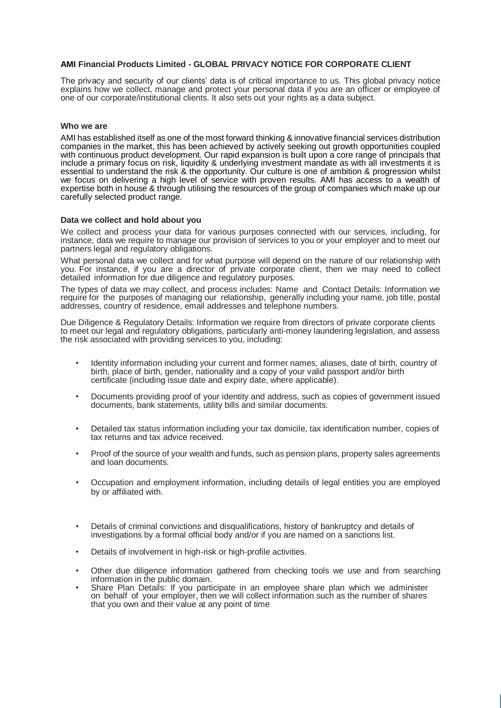# **AMI Financial Products Limited - GLOBAL PRIVACY NOTICE FOR CORPORATE CLIENT**

The privacy and security of our clients' data is of critical importance to us. This global privacy notice explains how we collect, manage and protect your personal data if you are an officer or employee of one of our corporate/institutional clients. It also sets out your rights as a data subject.

### **Who we are**

AMI has established itself as one of the most forward thinking & innovative financial services distribution companies in the market, this has been achieved by actively seeking out growth opportunities coupled with continuous product development. Our rapid expansion is built upon a core range of principals that include a primary focus on risk, liquidity & underlying investment mandate as with all investments it is essential to understand the risk & the opportunity. Our culture is one of ambition & progression whilst we focus on delivering a high level of service with proven results. AMI has access to a wealth of expertise both in house & through utilising the resources of the group of companies which make up our carefully selected product range.

### **Data we collect and hold about you**

We collect and process your data for various purposes connected with our services, including, for instance, data we require to manage our provision of services to you or your employer and to meet our partners legal and regulatory obligations.

What personal data we collect and for what purpose will depend on the nature of our relationship with you. For instance, if you are a director of private corporate client, then we may need to collect detailed information for due diligence and regulatory purposes.

The types of data we may collect, and process includes: Name and Contact Details: Information we require for the purposes of managing our relationship, generally including your name, job title, postal addresses, country of residence, email addresses and telephone numbers.

Due Diligence & Regulatory Details: Information we require from directors of private corporate clients to meet our legal and regulatory obligations, particularly anti-money laundering legislation, and assess the risk associated with providing services to you, including:

- Identity information including your current and former names, aliases, date of birth, country of birth, place of birth, gender, nationality and a copy of your valid passport and/or birth certificate (including issue date and expiry date, where applicable).
- Documents providing proof of your identity and address, such as copies of government issued documents, bank statements, utility bills and similar documents.
- Detailed tax status information including your tax domicile, tax identification number, copies of tax returns and tax advice received.
- Proof of the source of your wealth and funds, such as pension plans, property sales agreements and loan documents.
- Occupation and employment information, including details of legal entities you are employed by or affiliated with.
- Details of criminal convictions and disqualifications, history of bankruptcy and details of investigations by a formal official body and/or if you are named on a sanctions list.
- Details of involvement in high-risk or high-profile activities.
- Other due diligence information gathered from checking tools we use and from searching information in the public domain.
- Share Plan Details: If you participate in an employee share plan which we administer on behalf of your employer, then we will collect information such as the number of shares that you own and their value at any point of time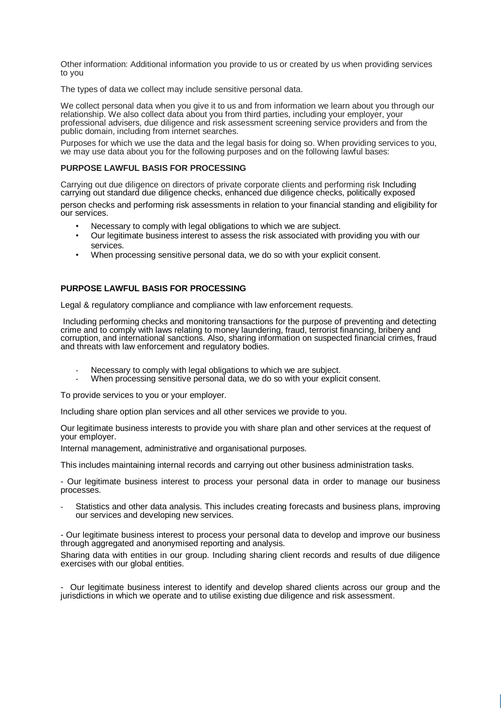Other information: Additional information you provide to us or created by us when providing services to you

The types of data we collect may include sensitive personal data.

We collect personal data when you give it to us and from information we learn about you through our relationship. We also collect data about you from third parties, including your employer, your professional advisers, due diligence and risk assessment screening service providers and from the public domain, including from internet searches.

Purposes for which we use the data and the legal basis for doing so. When providing services to you, we may use data about you for the following purposes and on the following lawful bases:

# **PURPOSE LAWFUL BASIS FOR PROCESSING**

Carrying out due diligence on directors of private corporate clients and performing risk Including carrying out standard due diligence checks, enhanced due diligence checks, politically exposed

person checks and performing risk assessments in relation to your financial standing and eligibility for our services.

- Necessary to comply with legal obligations to which we are subject.
- Our legitimate business interest to assess the risk associated with providing you with our services.
- When processing sensitive personal data, we do so with your explicit consent.

# **PURPOSE LAWFUL BASIS FOR PROCESSING**

Legal & regulatory compliance and compliance with law enforcement requests.

Including performing checks and monitoring transactions for the purpose of preventing and detecting crime and to comply with laws relating to money laundering, fraud, terrorist financing, bribery and corruption, and international sanctions. Also, sharing information on suspected financial crimes, fraud and threats with law enforcement and regulatory bodies.

- Necessary to comply with legal obligations to which we are subject.
- When processing sensitive personal data, we do so with your explicit consent.

To provide services to you or your employer.

Including share option plan services and all other services we provide to you.

Our legitimate business interests to provide you with share plan and other services at the request of your employer.

Internal management, administrative and organisational purposes.

This includes maintaining internal records and carrying out other business administration tasks.

- Our legitimate business interest to process your personal data in order to manage our business processes.

Statistics and other data analysis. This includes creating forecasts and business plans, improving our services and developing new services.

- Our legitimate business interest to process your personal data to develop and improve our business through aggregated and anonymised reporting and analysis.

Sharing data with entities in our group. Including sharing client records and results of due diligence exercises with our global entities.

- Our legitimate business interest to identify and develop shared clients across our group and the jurisdictions in which we operate and to utilise existing due diligence and risk assessment.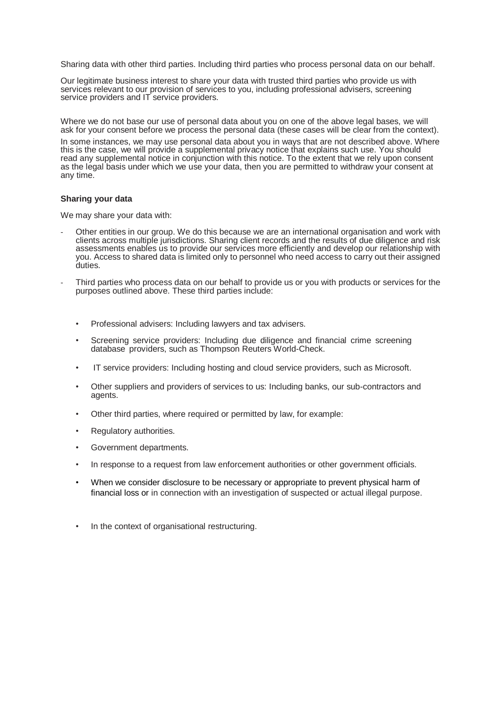Sharing data with other third parties. Including third parties who process personal data on our behalf.

Our legitimate business interest to share your data with trusted third parties who provide us with services relevant to our provision of services to you, including professional advisers, screening service providers and IT service providers.

Where we do not base our use of personal data about you on one of the above legal bases, we will ask for your consent before we process the personal data (these cases will be clear from the context).

In some instances, we may use personal data about you in ways that are not described above. Where this is the case, we will provide a supplemental privacy notice that explains such use. You should read any supplemental notice in conjunction with this notice. To the extent that we rely upon consent as the legal basis under which we use your data, then you are permitted to withdraw your consent at any time.

### **Sharing your data**

We may share your data with:

- Other entities in our group. We do this because we are an international organisation and work with clients across multiple jurisdictions. Sharing client records and the results of due diligence and risk assessments enables us to provide our services more efficiently and develop our relationship with you. Access to shared data is limited only to personnel who need access to carry out their assigned duties.
- Third parties who process data on our behalf to provide us or you with products or services for the purposes outlined above. These third parties include:
	- Professional advisers: Including lawyers and tax advisers.
	- Screening service providers: Including due diligence and financial crime screening database providers, such as Thompson Reuters World-Check.
	- IT service providers: Including hosting and cloud service providers, such as Microsoft.
	- Other suppliers and providers of services to us: Including banks, our sub-contractors and agents.
	- Other third parties, where required or permitted by law, for example:
	- Regulatory authorities.
	- Government departments.
	- In response to a request from law enforcement authorities or other government officials.
	- When we consider disclosure to be necessary or appropriate to prevent physical harm of financial loss or in connection with an investigation of suspected or actual illegal purpose.
	- In the context of organisational restructuring.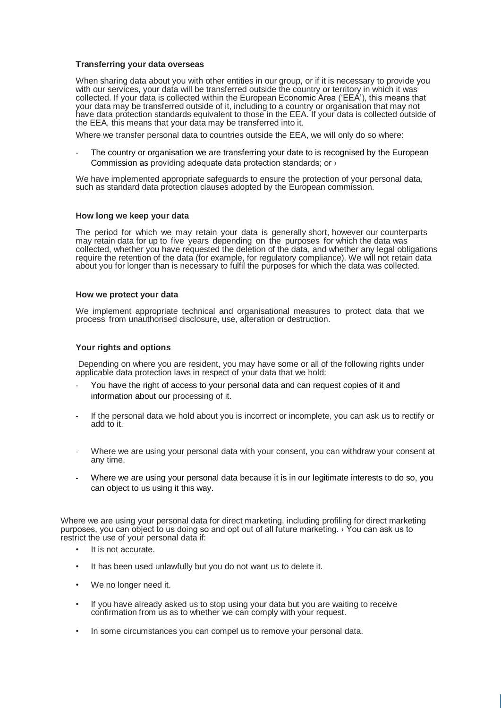#### **Transferring your data overseas**

When sharing data about you with other entities in our group, or if it is necessary to provide you with our services, your data will be transferred outside the country or territory in which it was collected. If your data is collected within the European Economic Area ('EEA'), this means that your data may be transferred outside of it, including to a country or organisation that may not have data protection standards equivalent to those in the EEA. If your data is collected outside of the EEA, this means that your data may be transferred into it.

Where we transfer personal data to countries outside the EEA, we will only do so where:

The country or organisation we are transferring your date to is recognised by the European Commission as providing adequate data protection standards; or ›

We have implemented appropriate safeguards to ensure the protection of your personal data, such as standard data protection clauses adopted by the European commission.

#### **How long we keep your data**

The period for which we may retain your data is generally short, however our counterparts may retain data for up to five years depending on the purposes for which the data was collected, whether you have requested the deletion of the data, and whether any legal obligations require the retention of the data (for example, for regulatory compliance). We will not retain data about you for longer than is necessary to fulfil the purposes for which the data was collected.

#### **How we protect your data**

We implement appropriate technical and organisational measures to protect data that we process from unauthorised disclosure, use, alteration or destruction.

#### **Your rights and options**

Depending on where you are resident, you may have some or all of the following rights under applicable data protection laws in respect of your data that we hold:

- You have the right of access to your personal data and can request copies of it and information about our processing of it.
- If the personal data we hold about you is incorrect or incomplete, you can ask us to rectify or add to it.
- Where we are using your personal data with your consent, you can withdraw your consent at any time.
- Where we are using your personal data because it is in our legitimate interests to do so, you can object to us using it this way.

Where we are using your personal data for direct marketing, including profiling for direct marketing purposes, you can object to us doing so and opt out of all future marketing. › You can ask us to restrict the use of your personal data if:

- It is not accurate.
- It has been used unlawfully but you do not want us to delete it.
- We no longer need it.
- If you have already asked us to stop using your data but you are waiting to receive confirmation from us as to whether we can comply with your request.
- In some circumstances you can compel us to remove your personal data.